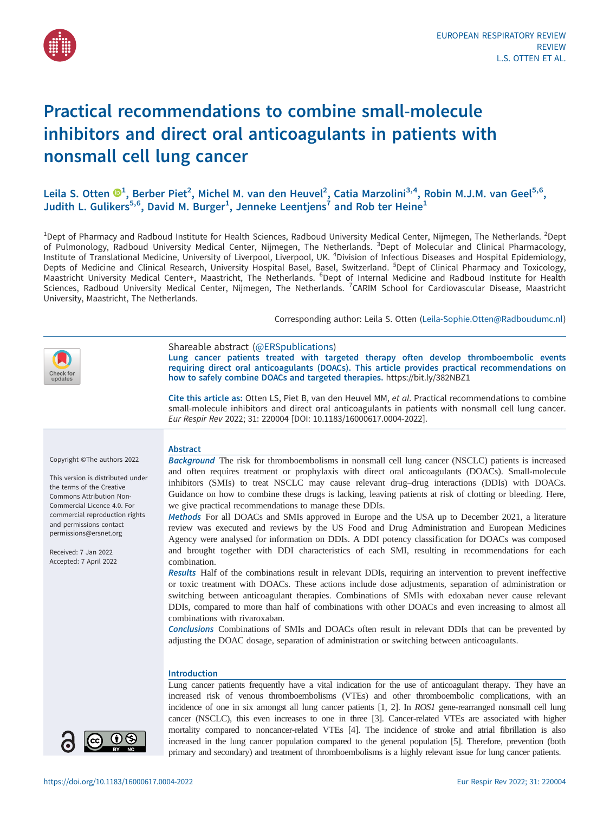

# Practical recommendations to combine small-molecule inhibitors and direct oral anticoagulants in patients with nonsmall cell lung cancer

Leila S. Otten  $\mathbf{D}^1$  $\mathbf{D}^1$ , Berber Piet<sup>2</sup>, Michel M. van den Heuvel<sup>2</sup>, Catia Marzolini<sup>3,4</sup>, Robin M.J.M. van Geel<sup>5,6</sup>, Judith L. Gulikers<sup>5,6</sup>, David M. Burger<sup>1</sup>, Jenneke Leentjens<sup>7</sup> and Rob ter Heine<sup>1</sup>

<sup>1</sup>Dept of Pharmacy and Radboud Institute for Health Sciences, Radboud University Medical Center, Nijmegen, The Netherlands. <sup>2</sup>Dept of Pulmonology, Radboud University Medical Center, Nijmegen, The Netherlands. <sup>3</sup>Dept of Molecular and Clinical Pharmacology, Institute of Translational Medicine, University of Liverpool, Liverpool, UK. <sup>4</sup>Division of Infectious Diseases and Hospital Epidemiology, Depts of Medicine and Clinical Research, University Hospital Basel, Basel, Switzerland. <sup>5</sup>Dept of Clinical Pharmacy and Toxicology, Maastricht University Medical Center+, Maastricht, The Netherlands. <sup>6</sup>Dept of Internal Medicine and Radboud Institute for Health Sciences, Radboud University Medical Center, Nijmegen, The Netherlands. <sup>7</sup>CARIM School for Cardiovascular Disease, Maastricht University, Maastricht, The Netherlands.

Corresponding author: Leila S. Otten ([Leila-Sophie.Otten@Radboudumc.nl](mailto:Leila-Sophie.Otten@Radboudumc.nl))



Shareable abstract (@ERSpublications) Lung cancer patients treated with targeted therapy often develop thromboembolic events requiring direct oral anticoagulants (DOACs). This article provides practical recommendations on how to safely combine DOACs and targeted therapies. <https://bit.ly/382NBZ1>

Cite this article as: Otten LS, Piet B, van den Heuvel MM, et al. Practical recommendations to combine small-molecule inhibitors and direct oral anticoagulants in patients with nonsmall cell lung cancer. Eur Respir Rev 2022; 31: 220004 [\[DOI: 10.1183/16000617.0004-2022\].](https://doi.org/10.1183/16000617.0004-2022)

# Copyright ©The authors 2022

This version is distributed under the terms of the Creative Commons Attribution Non-Commercial Licence 4.0. For commercial reproduction rights and permissions contact [permissions@ersnet.org](mailto:permissions@ersnet.org)

Received: 7 Jan 2022 Accepted: 7 April 2022



Background The risk for thromboembolisms in nonsmall cell lung cancer (NSCLC) patients is increased and often requires treatment or prophylaxis with direct oral anticoagulants (DOACs). Small-molecule inhibitors (SMIs) to treat NSCLC may cause relevant drug–drug interactions (DDIs) with DOACs. Guidance on how to combine these drugs is lacking, leaving patients at risk of clotting or bleeding. Here, we give practical recommendations to manage these DDIs.

Methods For all DOACs and SMIs approved in Europe and the USA up to December 2021, a literature review was executed and reviews by the US Food and Drug Administration and European Medicines Agency were analysed for information on DDIs. A DDI potency classification for DOACs was composed and brought together with DDI characteristics of each SMI, resulting in recommendations for each combination.

Results Half of the combinations result in relevant DDIs, requiring an intervention to prevent ineffective or toxic treatment with DOACs. These actions include dose adjustments, separation of administration or switching between anticoagulant therapies. Combinations of SMIs with edoxaban never cause relevant DDIs, compared to more than half of combinations with other DOACs and even increasing to almost all combinations with rivaroxaban.

Conclusions Combinations of SMIs and DOACs often result in relevant DDIs that can be prevented by adjusting the DOAC dosage, separation of administration or switching between anticoagulants.

# Introduction

Lung cancer patients frequently have a vital indication for the use of anticoagulant therapy. They have an increased risk of venous thromboembolisms (VTEs) and other thromboembolic complications, with an incidence of one in six amongst all lung cancer patients [[1](#page-9-0), [2](#page-9-0)]. In ROS1 gene-rearranged nonsmall cell lung cancer (NSCLC), this even increases to one in three [\[3](#page-9-0)]. Cancer-related VTEs are associated with higher mortality compared to noncancer-related VTEs [\[4](#page-9-0)]. The incidence of stroke and atrial fibrillation is also increased in the lung cancer population compared to the general population [\[5](#page-9-0)]. Therefore, prevention (both primary and secondary) and treatment of thromboembolisms is a highly relevant issue for lung cancer patients.

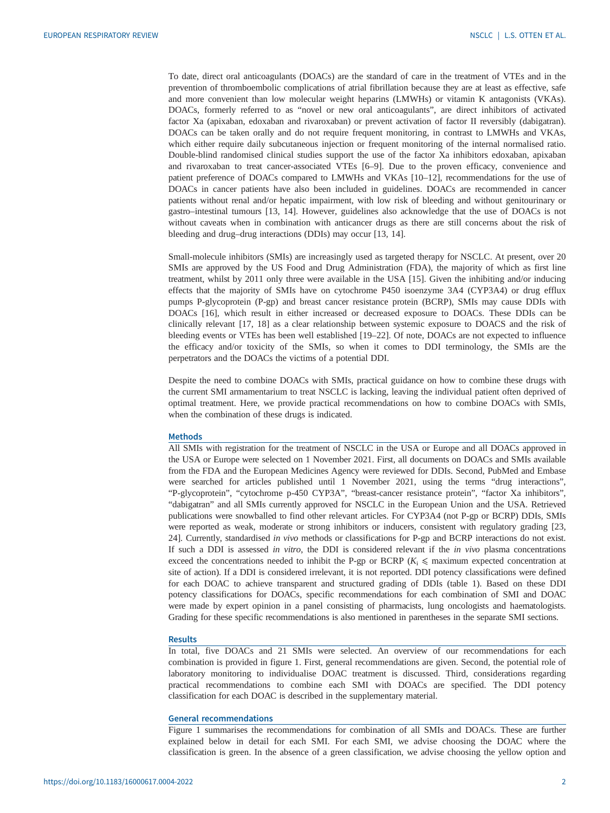To date, direct oral anticoagulants (DOACs) are the standard of care in the treatment of VTEs and in the prevention of thromboembolic complications of atrial fibrillation because they are at least as effective, safe and more convenient than low molecular weight heparins (LMWHs) or vitamin K antagonists (VKAs). DOACs, formerly referred to as "novel or new oral anticoagulants", are direct inhibitors of activated factor Xa (apixaban, edoxaban and rivaroxaban) or prevent activation of factor II reversibly (dabigatran). DOACs can be taken orally and do not require frequent monitoring, in contrast to LMWHs and VKAs, which either require daily subcutaneous injection or frequent monitoring of the internal normalised ratio. Double-blind randomised clinical studies support the use of the factor Xa inhibitors edoxaban, apixaban and rivaroxaban to treat cancer-associated VTEs [\[6](#page-9-0)–[9\]](#page-9-0). Due to the proven efficacy, convenience and patient preference of DOACs compared to LMWHs and VKAs [\[10](#page-9-0)–[12\]](#page-9-0), recommendations for the use of DOACs in cancer patients have also been included in guidelines. DOACs are recommended in cancer patients without renal and/or hepatic impairment, with low risk of bleeding and without genitourinary or gastro–intestinal tumours [\[13](#page-9-0), [14](#page-9-0)]. However, guidelines also acknowledge that the use of DOACs is not without caveats when in combination with anticancer drugs as there are still concerns about the risk of bleeding and drug–drug interactions (DDIs) may occur [\[13](#page-9-0), [14](#page-9-0)].

Small-molecule inhibitors (SMIs) are increasingly used as targeted therapy for NSCLC. At present, over 20 SMIs are approved by the US Food and Drug Administration (FDA), the majority of which as first line treatment, whilst by 2011 only three were available in the USA [\[15](#page-9-0)]. Given the inhibiting and/or inducing effects that the majority of SMIs have on cytochrome P450 isoenzyme 3A4 (CYP3A4) or drug efflux pumps P-glycoprotein (P-gp) and breast cancer resistance protein (BCRP), SMIs may cause DDIs with DOACs [\[16](#page-10-0)], which result in either increased or decreased exposure to DOACs. These DDIs can be clinically relevant [\[17](#page-10-0), [18](#page-10-0)] as a clear relationship between systemic exposure to DOACS and the risk of bleeding events or VTEs has been well established [\[19](#page-10-0)–[22\]](#page-10-0). Of note, DOACs are not expected to influence the efficacy and/or toxicity of the SMIs, so when it comes to DDI terminology, the SMIs are the perpetrators and the DOACs the victims of a potential DDI.

Despite the need to combine DOACs with SMIs, practical guidance on how to combine these drugs with the current SMI armamentarium to treat NSCLC is lacking, leaving the individual patient often deprived of optimal treatment. Here, we provide practical recommendations on how to combine DOACs with SMIs, when the combination of these drugs is indicated.

# Methods

All SMIs with registration for the treatment of NSCLC in the USA or Europe and all DOACs approved in the USA or Europe were selected on 1 November 2021. First, all documents on DOACs and SMIs available from the FDA and the European Medicines Agency were reviewed for DDIs. Second, PubMed and Embase were searched for articles published until 1 November 2021, using the terms "drug interactions", "P-glycoprotein", "cytochrome p-450 CYP3A", "breast-cancer resistance protein", "factor Xa inhibitors", "dabigatran" and all SMIs currently approved for NSCLC in the European Union and the USA. Retrieved publications were snowballed to find other relevant articles. For CYP3A4 (not P-gp or BCRP) DDIs, SMIs were reported as weak, moderate or strong inhibitors or inducers, consistent with regulatory grading [[23](#page-10-0), [24](#page-10-0)]. Currently, standardised in vivo methods or classifications for P-gp and BCRP interactions do not exist. If such a DDI is assessed in vitro, the DDI is considered relevant if the in vivo plasma concentrations exceed the concentrations needed to inhibit the P-gp or BCRP  $(K_i \leq \text{maximum expected concentration at})$ site of action). If a DDI is considered irrelevant, it is not reported. DDI potency classifications were defined for each DOAC to achieve transparent and structured grading of DDIs ([table 1\)](#page-2-0). Based on these DDI potency classifications for DOACs, specific recommendations for each combination of SMI and DOAC were made by expert opinion in a panel consisting of pharmacists, lung oncologists and haematologists. Grading for these specific recommendations is also mentioned in parentheses in the separate SMI sections.

#### Results

In total, five DOACs and 21 SMIs were selected. An overview of our recommendations for each combination is provided in [figure 1](#page-3-0). First, general recommendations are given. Second, the potential role of laboratory monitoring to individualise DOAC treatment is discussed. Third, considerations regarding practical recommendations to combine each SMI with DOACs are specified. The DDI potency classification for each DOAC is described in the [supplementary material](http://err.ersjournals.com/lookup/doi/10.1183/16000617.0004-2022.figures-only#fig-data-supplementary-materials).

# General recommendations

[Figure 1](#page-3-0) summarises the recommendations for combination of all SMIs and DOACs. These are further explained below in detail for each SMI. For each SMI, we advise choosing the DOAC where the classification is green. In the absence of a green classification, we advise choosing the yellow option and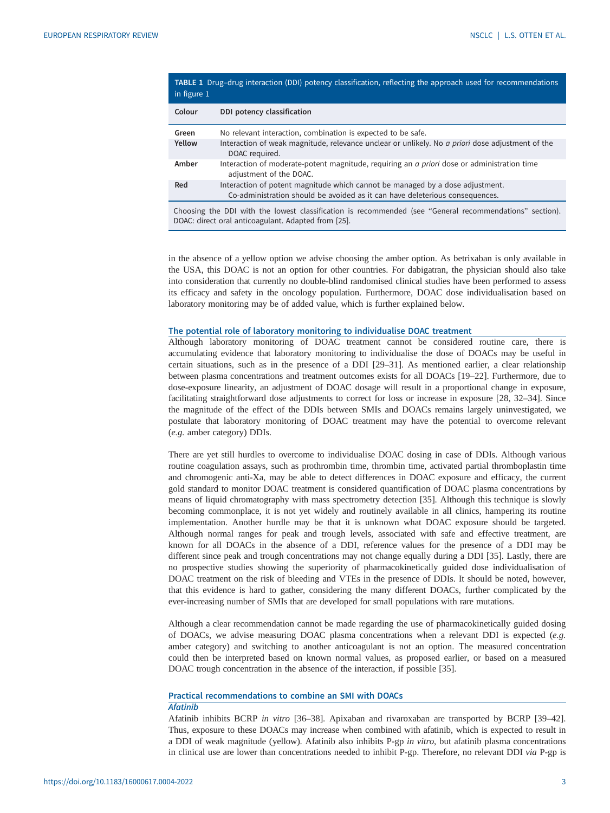<span id="page-2-0"></span>

| TABLE 1 Drug-drug interaction (DDI) potency classification, reflecting the approach used for recommendations<br>in figure 1 |                                                                                                                                                                |  |  |  |  |
|-----------------------------------------------------------------------------------------------------------------------------|----------------------------------------------------------------------------------------------------------------------------------------------------------------|--|--|--|--|
| Colour                                                                                                                      | DDI potency classification                                                                                                                                     |  |  |  |  |
| Green                                                                                                                       | No relevant interaction, combination is expected to be safe.                                                                                                   |  |  |  |  |
| Yellow                                                                                                                      | Interaction of weak magnitude, relevance unclear or unlikely. No a priori dose adjustment of the<br>DOAC required.                                             |  |  |  |  |
| Amber                                                                                                                       | Interaction of moderate-potent magnitude, requiring an <i>a priori</i> dose or administration time<br>adjustment of the DOAC.                                  |  |  |  |  |
| Red                                                                                                                         | Interaction of potent magnitude which cannot be managed by a dose adjustment.<br>Co-administration should be avoided as it can have deleterious consequences.  |  |  |  |  |
|                                                                                                                             | Choosing the DDI with the lowest classification is recommended (see "General recommendations" section).<br>DOAC: direct oral anticoagulant. Adapted from [25]. |  |  |  |  |

in the absence of a yellow option we advise choosing the amber option. As betrixaban is only available in the USA, this DOAC is not an option for other countries. For dabigatran, the physician should also take into consideration that currently no double-blind randomised clinical studies have been performed to assess its efficacy and safety in the oncology population. Furthermore, DOAC dose individualisation based on laboratory monitoring may be of added value, which is further explained below.

## The potential role of laboratory monitoring to individualise DOAC treatment

Although laboratory monitoring of DOAC treatment cannot be considered routine care, there is accumulating evidence that laboratory monitoring to individualise the dose of DOACs may be useful in certain situations, such as in the presence of a DDI [[29](#page-10-0)–[31](#page-10-0)]. As mentioned earlier, a clear relationship between plasma concentrations and treatment outcomes exists for all DOACs [\[19](#page-10-0)–[22\]](#page-10-0). Furthermore, due to dose-exposure linearity, an adjustment of DOAC dosage will result in a proportional change in exposure, facilitating straightforward dose adjustments to correct for loss or increase in exposure [[28, 32](#page-10-0)–[34\]](#page-10-0). Since the magnitude of the effect of the DDIs between SMIs and DOACs remains largely uninvestigated, we postulate that laboratory monitoring of DOAC treatment may have the potential to overcome relevant (e.g. amber category) DDIs.

There are yet still hurdles to overcome to individualise DOAC dosing in case of DDIs. Although various routine coagulation assays, such as prothrombin time, thrombin time, activated partial thromboplastin time and chromogenic anti-Xa, may be able to detect differences in DOAC exposure and efficacy, the current gold standard to monitor DOAC treatment is considered quantification of DOAC plasma concentrations by means of liquid chromatography with mass spectrometry detection [[35\]](#page-10-0). Although this technique is slowly becoming commonplace, it is not yet widely and routinely available in all clinics, hampering its routine implementation. Another hurdle may be that it is unknown what DOAC exposure should be targeted. Although normal ranges for peak and trough levels, associated with safe and effective treatment, are known for all DOACs in the absence of a DDI, reference values for the presence of a DDI may be different since peak and trough concentrations may not change equally during a DDI [\[35](#page-10-0)]. Lastly, there are no prospective studies showing the superiority of pharmacokinetically guided dose individualisation of DOAC treatment on the risk of bleeding and VTEs in the presence of DDIs. It should be noted, however, that this evidence is hard to gather, considering the many different DOACs, further complicated by the ever-increasing number of SMIs that are developed for small populations with rare mutations.

Although a clear recommendation cannot be made regarding the use of pharmacokinetically guided dosing of DOACs, we advise measuring DOAC plasma concentrations when a relevant DDI is expected (e.g. amber category) and switching to another anticoagulant is not an option. The measured concentration could then be interpreted based on known normal values, as proposed earlier, or based on a measured DOAC trough concentration in the absence of the interaction, if possible [[35\]](#page-10-0).

# Practical recommendations to combine an SMI with DOACs Afatinib

Afatinib inhibits BCRP in vitro [\[36](#page-10-0)–[38\]](#page-10-0). Apixaban and rivaroxaban are transported by BCRP [\[39](#page-10-0)–[42\]](#page-10-0). Thus, exposure to these DOACs may increase when combined with afatinib, which is expected to result in a DDI of weak magnitude (yellow). Afatinib also inhibits P-gp in vitro, but afatinib plasma concentrations in clinical use are lower than concentrations needed to inhibit P-gp. Therefore, no relevant DDI via P-gp is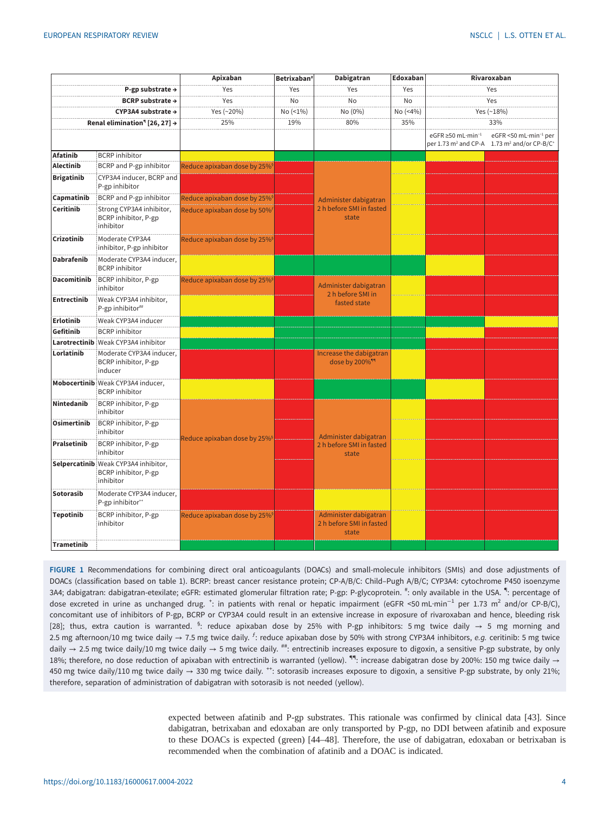<span id="page-3-0"></span>

|                              |                                                                           | Apixaban                                 | Betrixaban <sup>#</sup> | Dabigatran                                                 | Edoxaban | Rivaroxaban                                                             |                                                                            |
|------------------------------|---------------------------------------------------------------------------|------------------------------------------|-------------------------|------------------------------------------------------------|----------|-------------------------------------------------------------------------|----------------------------------------------------------------------------|
| P-gp substrate $\rightarrow$ |                                                                           | Yes                                      | Yes                     | Yes                                                        | Yes      | Yes                                                                     |                                                                            |
| BCRP substrate $\rightarrow$ |                                                                           | Yes                                      | <b>No</b>               | <b>No</b>                                                  | No       | Yes                                                                     |                                                                            |
| CYP3A4 substrate →           |                                                                           | Yes (~20%)                               | No (<1%)                | No (0%)                                                    | No (<4%) | Yes (~18%)                                                              |                                                                            |
|                              | Renal elimination <sup>4</sup> [26, 27] $\rightarrow$                     | 25%                                      | 19%                     | 80%<br>35%                                                 |          | 33%                                                                     |                                                                            |
|                              |                                                                           |                                          |                         |                                                            |          | eGFR $\geq$ 50 mL·min <sup>-1</sup><br>per 1.73 m <sup>2</sup> and CP-A | eGFR <50 mL·min <sup>-1</sup> per<br>1.73 $m^2$ and/or CP-B/C <sup>+</sup> |
| <b>Afatinib</b>              | <b>BCRP</b> inhibitor                                                     |                                          |                         |                                                            |          |                                                                         |                                                                            |
| <b>Alectinib</b>             | BCRP and P-gp inhibitor                                                   | Reduce apixaban dose by 25% <sup>§</sup> |                         |                                                            |          |                                                                         |                                                                            |
| <b>Brigatinib</b>            | CYP3A4 inducer, BCRP and<br>P-gp inhibitor                                |                                          |                         | Administer dabigatran<br>2 h before SMI in fasted<br>state |          |                                                                         |                                                                            |
| Capmatinib                   | BCRP and P-gp inhibitor                                                   | Reduce apixaban dose by 25% <sup>§</sup> |                         |                                                            |          |                                                                         |                                                                            |
| Ceritinib                    | Strong CYP3A4 inhibitor,<br>BCRP inhibitor, P-gp<br>inhibitor             | Reduce apixaban dose by 50% <sup>f</sup> |                         |                                                            |          |                                                                         |                                                                            |
| Crizotinib                   | Moderate CYP3A4<br>inhibitor, P-gp inhibitor                              | Reduce apixaban dose by 25% <sup>§</sup> |                         |                                                            |          |                                                                         |                                                                            |
| <b>Dabrafenib</b>            | Moderate CYP3A4 inducer,<br><b>BCRP</b> inhibitor                         |                                          |                         |                                                            |          |                                                                         |                                                                            |
| <b>Dacomitinib</b>           | BCRP inhibitor, P-gp<br>inhibitor                                         | Reduce apixaban dose by 25% <sup>§</sup> |                         | Administer dabigatran<br>2 h before SMI in<br>fasted state |          |                                                                         |                                                                            |
| Entrectinib                  | Weak CYP3A4 inhibitor,<br>P-gp inhibitor##                                |                                          |                         |                                                            |          |                                                                         |                                                                            |
| <b>Erlotinib</b>             | Weak CYP3A4 inducer                                                       |                                          |                         |                                                            |          |                                                                         |                                                                            |
| Gefitinib                    | <b>BCRP</b> inhibitor                                                     |                                          |                         |                                                            |          |                                                                         |                                                                            |
|                              | <b>Larotrectinib</b> Weak CYP3A4 inhibitor                                |                                          |                         |                                                            |          |                                                                         |                                                                            |
| Lorlatinib                   | Moderate CYP3A4 inducer,<br>BCRP inhibitor, P-gp<br>inducer               |                                          |                         | Increase the dabigatran<br>dose by 200% <sup>99</sup>      |          |                                                                         |                                                                            |
|                              | Mobocertinib Weak CYP3A4 inducer,<br><b>BCRP</b> inhibitor                |                                          |                         |                                                            |          |                                                                         |                                                                            |
| Nintedanib                   | BCRP inhibitor, P-gp<br>inhibitor                                         |                                          |                         |                                                            |          |                                                                         |                                                                            |
| <b>Osimertinib</b>           | BCRP inhibitor, P-gp<br>inhibitor                                         | Reduce apixaban dose by 25%§             |                         | Administer dabigatran<br>2 h before SMI in fasted<br>state |          |                                                                         |                                                                            |
| Pralsetinib                  | BCRP inhibitor, P-gp<br>inhibitor                                         |                                          |                         |                                                            |          |                                                                         |                                                                            |
|                              | Selpercatinib Weak CYP3A4 inhibitor,<br>BCRP inhibitor, P-gp<br>inhibitor |                                          |                         |                                                            |          |                                                                         |                                                                            |
| Sotorasib                    | Moderate CYP3A4 inducer,<br>P-gp inhibitor <sup>++</sup>                  |                                          |                         |                                                            |          |                                                                         |                                                                            |
| <b>Tepotinib</b>             | BCRP inhibitor, P-gp<br>inhibitor                                         | Reduce apixaban dose by 25% <sup>§</sup> |                         | Administer dabigatran<br>2 h before SMI in fasted<br>state |          |                                                                         |                                                                            |
| <b>Trametinib</b>            |                                                                           |                                          |                         |                                                            |          |                                                                         |                                                                            |

FIGURE 1 Recommendations for combining direct oral anticoagulants (DOACs) and small-molecule inhibitors (SMIs) and dose adjustments of DOACs (classification based on table 1). BCRP: breast cancer resistance protein; CP-A/B/C: Child–Pugh A/B/C; CYP3A4: cytochrome P450 isoenzyme 3A4; dabigatran: dabigatran-etexilate; eGFR: estimated glomerular filtration rate; P-gp: P-glycoprotein. <sup>#</sup>: only available in the USA. <sup>\*</sup>!: percentage of dose excreted in urine as unchanged drug. <sup>+</sup>: in patients with renal or hepatic impairment (eGFR <50 mL·min<sup>-1</sup> per 1.73 m<sup>2</sup> and/or CP-B/C), concomitant use of inhibitors of P-gp, BCRP or CYP3A4 could result in an extensive increase in exposure of rivaroxaban and hence, bleeding risk [[28\]](#page-10-0); thus, extra caution is warranted.  $s$ : reduce apixaban dose by 25% with P-gp inhibitors: 5 mg twice daily  $\rightarrow$  5 mg morning and 2.5 mg afternoon/10 mg twice daily  $\rightarrow$  7.5 mg twice daily. <sup>f</sup>: reduce apixaban dose by 50% with strong CYP3A4 inhibitors, e.g. ceritinib: 5 mg twice daily  $\rightarrow$  2.5 mg twice daily/10 mg twice daily  $\rightarrow$  5 mg twice daily. <sup>##</sup>: entrectinib increases exposure to digoxin, a sensitive P-gp substrate, by only 18%; therefore, no dose reduction of apixaban with entrectinib is warranted (yellow). <sup>44</sup>: increase dabigatran dose by 200%: 150 mg twice daily  $\rightarrow$ 450 mg twice daily/110 mg twice daily  $\rightarrow$  330 mg twice daily. <sup>++</sup>: sotorasib increases exposure to digoxin, a sensitive P-gp substrate, by only 21%; therefore, separation of administration of dabigatran with sotorasib is not needed (yellow).

> expected between afatinib and P-gp substrates. This rationale was confirmed by clinical data [\[43](#page-11-0)]. Since dabigatran, betrixaban and edoxaban are only transported by P-gp, no DDI between afatinib and exposure to these DOACs is expected (green) [[44](#page-11-0)–[48](#page-11-0)]. Therefore, the use of dabigatran, edoxaban or betrixaban is recommended when the combination of afatinib and a DOAC is indicated.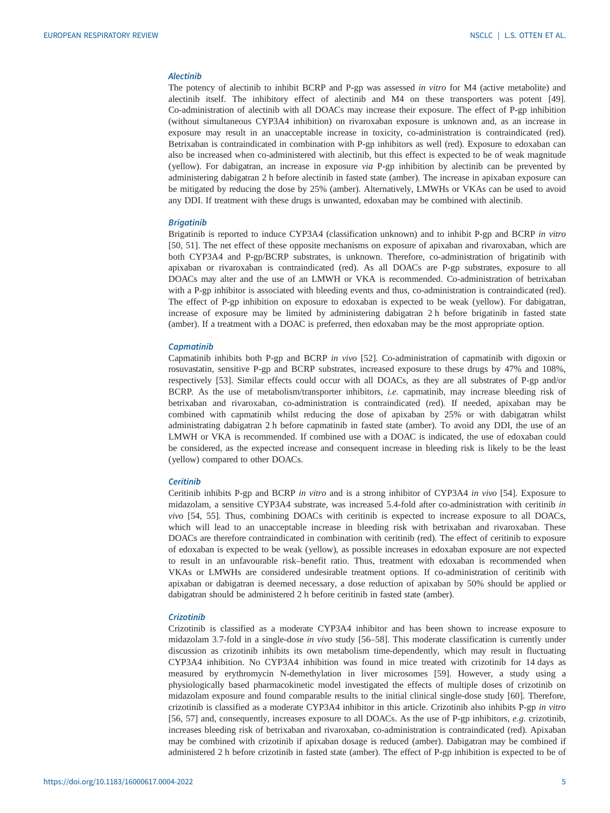# Alectinib

The potency of alectinib to inhibit BCRP and P-gp was assessed in vitro for M4 (active metabolite) and alectinib itself. The inhibitory effect of alectinib and M4 on these transporters was potent [[49\]](#page-11-0). Co-administration of alectinib with all DOACs may increase their exposure. The effect of P-gp inhibition (without simultaneous CYP3A4 inhibition) on rivaroxaban exposure is unknown and, as an increase in exposure may result in an unacceptable increase in toxicity, co-administration is contraindicated (red). Betrixaban is contraindicated in combination with P-gp inhibitors as well (red). Exposure to edoxaban can also be increased when co-administered with alectinib, but this effect is expected to be of weak magnitude (yellow). For dabigatran, an increase in exposure via P-gp inhibition by alectinib can be prevented by administering dabigatran 2 h before alectinib in fasted state (amber). The increase in apixaban exposure can be mitigated by reducing the dose by 25% (amber). Alternatively, LMWHs or VKAs can be used to avoid any DDI. If treatment with these drugs is unwanted, edoxaban may be combined with alectinib.

## **Brigatinib**

Brigatinib is reported to induce CYP3A4 (classification unknown) and to inhibit P-gp and BCRP in vitro [\[50](#page-11-0), [51](#page-11-0)]. The net effect of these opposite mechanisms on exposure of apixaban and rivaroxaban, which are both CYP3A4 and P-gp/BCRP substrates, is unknown. Therefore, co-administration of brigatinib with apixaban or rivaroxaban is contraindicated (red). As all DOACs are P-gp substrates, exposure to all DOACs may alter and the use of an LMWH or VKA is recommended. Co-administration of betrixaban with a P-gp inhibitor is associated with bleeding events and thus, co-administration is contraindicated (red). The effect of P-gp inhibition on exposure to edoxaban is expected to be weak (yellow). For dabigatran, increase of exposure may be limited by administering dabigatran 2 h before brigatinib in fasted state (amber). If a treatment with a DOAC is preferred, then edoxaban may be the most appropriate option.

#### **Capmatinib**

Capmatinib inhibits both P-gp and BCRP in vivo [\[52](#page-11-0)]. Co-administration of capmatinib with digoxin or rosuvastatin, sensitive P-gp and BCRP substrates, increased exposure to these drugs by 47% and 108%, respectively [[53\]](#page-11-0). Similar effects could occur with all DOACs, as they are all substrates of P-gp and/or BCRP. As the use of metabolism/transporter inhibitors, i.e. capmatinib, may increase bleeding risk of betrixaban and rivaroxaban, co-administration is contraindicated (red). If needed, apixaban may be combined with capmatinib whilst reducing the dose of apixaban by 25% or with dabigatran whilst administrating dabigatran 2 h before capmatinib in fasted state (amber). To avoid any DDI, the use of an LMWH or VKA is recommended. If combined use with a DOAC is indicated, the use of edoxaban could be considered, as the expected increase and consequent increase in bleeding risk is likely to be the least (yellow) compared to other DOACs.

#### **Ceritinib**

Ceritinib inhibits P-gp and BCRP in vitro and is a strong inhibitor of CYP3A4 in vivo [[54\]](#page-11-0). Exposure to midazolam, a sensitive CYP3A4 substrate, was increased 5.4-fold after co-administration with ceritinib in vivo [\[54](#page-11-0), [55\]](#page-11-0). Thus, combining DOACs with ceritinib is expected to increase exposure to all DOACs, which will lead to an unacceptable increase in bleeding risk with betrixaban and rivaroxaban. These DOACs are therefore contraindicated in combination with ceritinib (red). The effect of ceritinib to exposure of edoxaban is expected to be weak (yellow), as possible increases in edoxaban exposure are not expected to result in an unfavourable risk–benefit ratio. Thus, treatment with edoxaban is recommended when VKAs or LMWHs are considered undesirable treatment options. If co-administration of ceritinib with apixaban or dabigatran is deemed necessary, a dose reduction of apixaban by 50% should be applied or dabigatran should be administered 2 h before ceritinib in fasted state (amber).

## **Crizotinib**

Crizotinib is classified as a moderate CYP3A4 inhibitor and has been shown to increase exposure to midazolam 3.7-fold in a single-dose in vivo study [[56](#page-11-0)–[58](#page-11-0)]. This moderate classification is currently under discussion as crizotinib inhibits its own metabolism time-dependently, which may result in fluctuating CYP3A4 inhibition. No CYP3A4 inhibition was found in mice treated with crizotinib for 14 days as measured by erythromycin N-demethylation in liver microsomes [[59\]](#page-11-0). However, a study using a physiologically based pharmacokinetic model investigated the effects of multiple doses of crizotinib on midazolam exposure and found comparable results to the initial clinical single-dose study [[60\]](#page-11-0). Therefore, crizotinib is classified as a moderate CYP3A4 inhibitor in this article. Crizotinib also inhibits P-gp in vitro [\[56](#page-11-0), [57](#page-11-0)] and, consequently, increases exposure to all DOACs. As the use of P-gp inhibitors, e.g. crizotinib, increases bleeding risk of betrixaban and rivaroxaban, co-administration is contraindicated (red). Apixaban may be combined with crizotinib if apixaban dosage is reduced (amber). Dabigatran may be combined if administered 2 h before crizotinib in fasted state (amber). The effect of P-gp inhibition is expected to be of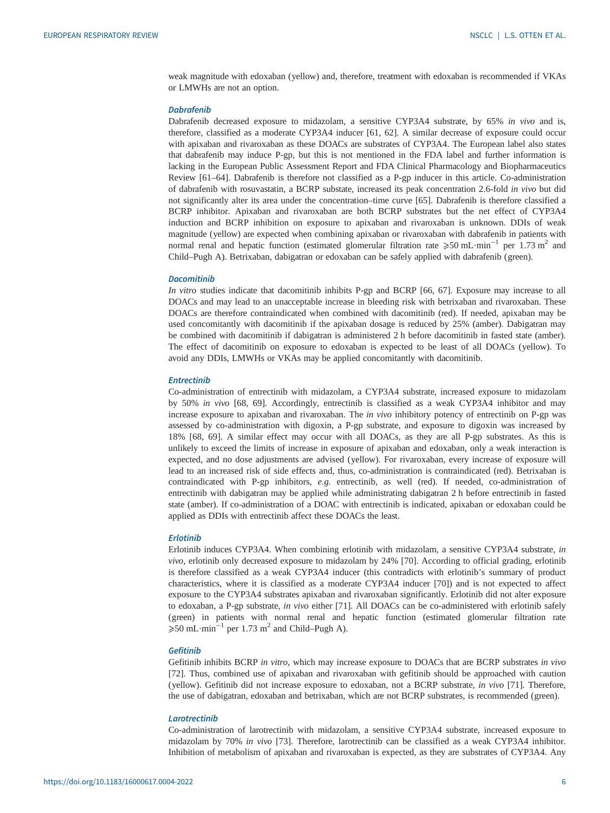weak magnitude with edoxaban (yellow) and, therefore, treatment with edoxaban is recommended if VKAs or LMWHs are not an option.

## **Dabrafenib**

Dabrafenib decreased exposure to midazolam, a sensitive CYP3A4 substrate, by 65% in vivo and is, therefore, classified as a moderate CYP3A4 inducer [\[61](#page-11-0), [62\]](#page-11-0). A similar decrease of exposure could occur with apixaban and rivaroxaban as these DOACs are substrates of CYP3A4. The European label also states that dabrafenib may induce P-gp, but this is not mentioned in the FDA label and further information is lacking in the European Public Assessment Report and FDA Clinical Pharmacology and Biopharmaceutics Review [[61](#page-11-0)–[64](#page-11-0)]. Dabrafenib is therefore not classified as a P-gp inducer in this article. Co-administration of dabrafenib with rosuvastatin, a BCRP substate, increased its peak concentration 2.6-fold in vivo but did not significantly alter its area under the concentration–time curve [[65\]](#page-11-0). Dabrafenib is therefore classified a BCRP inhibitor. Apixaban and rivaroxaban are both BCRP substrates but the net effect of CYP3A4 induction and BCRP inhibition on exposure to apixaban and rivaroxaban is unknown. DDIs of weak magnitude (yellow) are expected when combining apixaban or rivaroxaban with dabrafenib in patients with normal renal and hepatic function (estimated glomerular filtration rate  $\geqslant 50$  mL·min<sup>-1</sup> per 1.73 m<sup>2</sup> and Child–Pugh A). Betrixaban, dabigatran or edoxaban can be safely applied with dabrafenib (green).

#### **Dacomitinib**

In vitro studies indicate that dacomitinib inhibits P-gp and BCRP [\[66](#page-11-0), [67](#page-11-0)]. Exposure may increase to all DOACs and may lead to an unacceptable increase in bleeding risk with betrixaban and rivaroxaban. These DOACs are therefore contraindicated when combined with dacomitinib (red). If needed, apixaban may be used concomitantly with dacomitinib if the apixaban dosage is reduced by 25% (amber). Dabigatran may be combined with dacomitinib if dabigatran is administered 2 h before dacomitinib in fasted state (amber). The effect of dacomitinib on exposure to edoxaban is expected to be least of all DOACs (yellow). To avoid any DDIs, LMWHs or VKAs may be applied concomitantly with dacomitinib.

## **Entrectinib**

Co-administration of entrectinib with midazolam, a CYP3A4 substrate, increased exposure to midazolam by 50% in vivo [\[68](#page-11-0), [69\]](#page-11-0). Accordingly, entrectinib is classified as a weak CYP3A4 inhibitor and may increase exposure to apixaban and rivaroxaban. The in vivo inhibitory potency of entrectinib on P-gp was assessed by co-administration with digoxin, a P-gp substrate, and exposure to digoxin was increased by 18% [[68, 69](#page-11-0)]. A similar effect may occur with all DOACs, as they are all P-gp substrates. As this is unlikely to exceed the limits of increase in exposure of apixaban and edoxaban, only a weak interaction is expected, and no dose adjustments are advised (yellow). For rivaroxaban, every increase of exposure will lead to an increased risk of side effects and, thus, co-administration is contraindicated (red). Betrixaban is contraindicated with P-gp inhibitors, e.g. entrectinib, as well (red). If needed, co-administration of entrectinib with dabigatran may be applied while administrating dabigatran 2 h before entrectinib in fasted state (amber). If co-administration of a DOAC with entrectinib is indicated, apixaban or edoxaban could be applied as DDIs with entrectinib affect these DOACs the least.

#### Erlotinib

Erlotinib induces CYP3A4. When combining erlotinib with midazolam, a sensitive CYP3A4 substrate, in vivo, erlotinib only decreased exposure to midazolam by 24% [[70\]](#page-11-0). According to official grading, erlotinib is therefore classified as a weak CYP3A4 inducer (this contradicts with erlotinib's summary of product characteristics, where it is classified as a moderate CYP3A4 inducer [[70\]](#page-11-0)) and is not expected to affect exposure to the CYP3A4 substrates apixaban and rivaroxaban significantly. Erlotinib did not alter exposure to edoxaban, a P-gp substrate, in vivo either [[71\]](#page-12-0). All DOACs can be co-administered with erlotinib safely (green) in patients with normal renal and hepatic function (estimated glomerular filtration rate ⩾50 mL·min−<sup>1</sup> per 1.73 m2 and Child–Pugh A).

# **Gefitinib**

Gefitinib inhibits BCRP in vitro, which may increase exposure to DOACs that are BCRP substrates in vivo [\[72](#page-12-0)]. Thus, combined use of apixaban and rivaroxaban with gefitinib should be approached with caution (yellow). Gefitinib did not increase exposure to edoxaban, not a BCRP substrate, in vivo [\[71](#page-12-0)]. Therefore, the use of dabigatran, edoxaban and betrixaban, which are not BCRP substrates, is recommended (green).

# **Larotrectinib**

Co-administration of larotrectinib with midazolam, a sensitive CYP3A4 substrate, increased exposure to midazolam by 70% in vivo [\[73](#page-12-0)]. Therefore, larotrectinib can be classified as a weak CYP3A4 inhibitor. Inhibition of metabolism of apixaban and rivaroxaban is expected, as they are substrates of CYP3A4. Any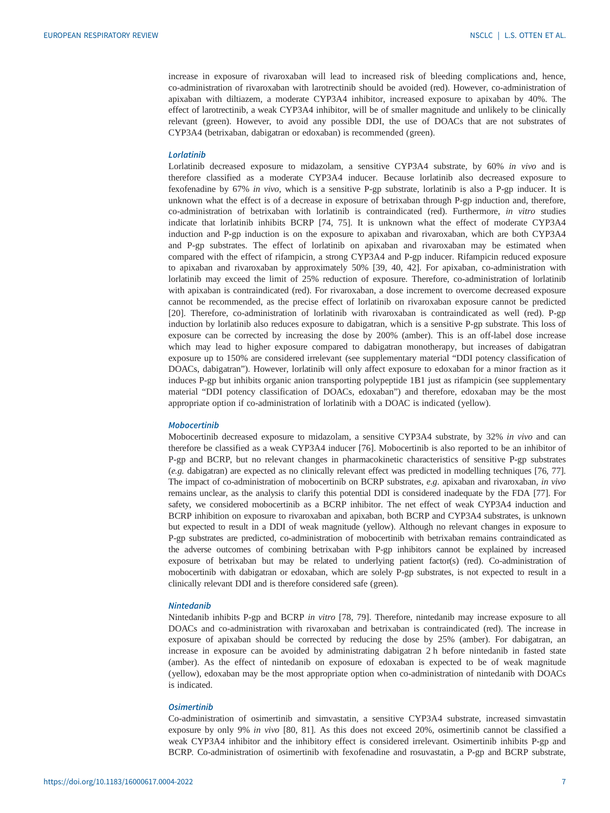increase in exposure of rivaroxaban will lead to increased risk of bleeding complications and, hence, co-administration of rivaroxaban with larotrectinib should be avoided (red). However, co-administration of apixaban with diltiazem, a moderate CYP3A4 inhibitor, increased exposure to apixaban by 40%. The effect of larotrectinib, a weak CYP3A4 inhibitor, will be of smaller magnitude and unlikely to be clinically relevant (green). However, to avoid any possible DDI, the use of DOACs that are not substrates of CYP3A4 (betrixaban, dabigatran or edoxaban) is recommended (green).

## Lorlatinib

Lorlatinib decreased exposure to midazolam, a sensitive CYP3A4 substrate, by 60% in vivo and is therefore classified as a moderate CYP3A4 inducer. Because lorlatinib also decreased exposure to fexofenadine by 67% in vivo, which is a sensitive P-gp substrate, lorlatinib is also a P-gp inducer. It is unknown what the effect is of a decrease in exposure of betrixaban through P-gp induction and, therefore, co-administration of betrixaban with lorlatinib is contraindicated (red). Furthermore, in vitro studies indicate that lorlatinib inhibits BCRP [\[74](#page-12-0), [75](#page-12-0)]. It is unknown what the effect of moderate CYP3A4 induction and P-gp induction is on the exposure to apixaban and rivaroxaban, which are both CYP3A4 and P-gp substrates. The effect of lorlatinib on apixaban and rivaroxaban may be estimated when compared with the effect of rifampicin, a strong CYP3A4 and P-gp inducer. Rifampicin reduced exposure to apixaban and rivaroxaban by approximately 50% [[39, 40](#page-10-0), [42\]](#page-10-0). For apixaban, co-administration with lorlatinib may exceed the limit of 25% reduction of exposure. Therefore, co-administration of lorlatinib with apixaban is contraindicated (red). For rivaroxaban, a dose increment to overcome decreased exposure cannot be recommended, as the precise effect of lorlatinib on rivaroxaban exposure cannot be predicted [\[20](#page-10-0)]. Therefore, co-administration of lorlatinib with rivaroxaban is contraindicated as well (red). P-gp induction by lorlatinib also reduces exposure to dabigatran, which is a sensitive P-gp substrate. This loss of exposure can be corrected by increasing the dose by 200% (amber). This is an off-label dose increase which may lead to higher exposure compared to dabigatran monotherapy, but increases of dabigatran exposure up to 150% are considered irrelevant (see [supplementary material](http://err.ersjournals.com/lookup/doi/10.1183/16000617.0004-2022.figures-only#fig-data-supplementary-materials) "DDI potency classification of DOACs, dabigatran"). However, lorlatinib will only affect exposure to edoxaban for a minor fraction as it induces P-gp but inhibits organic anion transporting polypeptide 1B1 just as rifampicin (see [supplementary](http://err.ersjournals.com/lookup/doi/10.1183/16000617.0004-2022.figures-only#fig-data-supplementary-materials) [material](http://err.ersjournals.com/lookup/doi/10.1183/16000617.0004-2022.figures-only#fig-data-supplementary-materials) "DDI potency classification of DOACs, edoxaban") and therefore, edoxaban may be the most appropriate option if co-administration of lorlatinib with a DOAC is indicated (yellow).

# Mobocertinib

Mobocertinib decreased exposure to midazolam, a sensitive CYP3A4 substrate, by 32% in vivo and can therefore be classified as a weak CYP3A4 inducer [\[76](#page-12-0)]. Mobocertinib is also reported to be an inhibitor of P-gp and BCRP, but no relevant changes in pharmacokinetic characteristics of sensitive P-gp substrates (e.g. dabigatran) are expected as no clinically relevant effect was predicted in modelling techniques [[76, 77\]](#page-12-0). The impact of co-administration of mobocertinib on BCRP substrates, e.g. apixaban and rivaroxaban, in vivo remains unclear, as the analysis to clarify this potential DDI is considered inadequate by the FDA [[77\]](#page-12-0). For safety, we considered mobocertinib as a BCRP inhibitor. The net effect of weak CYP3A4 induction and BCRP inhibition on exposure to rivaroxaban and apixaban, both BCRP and CYP3A4 substrates, is unknown but expected to result in a DDI of weak magnitude (yellow). Although no relevant changes in exposure to P-gp substrates are predicted, co-administration of mobocertinib with betrixaban remains contraindicated as the adverse outcomes of combining betrixaban with P-gp inhibitors cannot be explained by increased exposure of betrixaban but may be related to underlying patient factor(s) (red). Co-administration of mobocertinib with dabigatran or edoxaban, which are solely P-gp substrates, is not expected to result in a clinically relevant DDI and is therefore considered safe (green).

## Nintedanib

Nintedanib inhibits P-gp and BCRP in vitro [[78, 79\]](#page-12-0). Therefore, nintedanib may increase exposure to all DOACs and co-administration with rivaroxaban and betrixaban is contraindicated (red). The increase in exposure of apixaban should be corrected by reducing the dose by 25% (amber). For dabigatran, an increase in exposure can be avoided by administrating dabigatran 2 h before nintedanib in fasted state (amber). As the effect of nintedanib on exposure of edoxaban is expected to be of weak magnitude (yellow), edoxaban may be the most appropriate option when co-administration of nintedanib with DOACs is indicated.

#### **Osimertinib**

Co-administration of osimertinib and simvastatin, a sensitive CYP3A4 substrate, increased simvastatin exposure by only 9% in vivo [[80, 81](#page-12-0)]. As this does not exceed 20%, osimertinib cannot be classified a weak CYP3A4 inhibitor and the inhibitory effect is considered irrelevant. Osimertinib inhibits P-gp and BCRP. Co-administration of osimertinib with fexofenadine and rosuvastatin, a P-gp and BCRP substrate,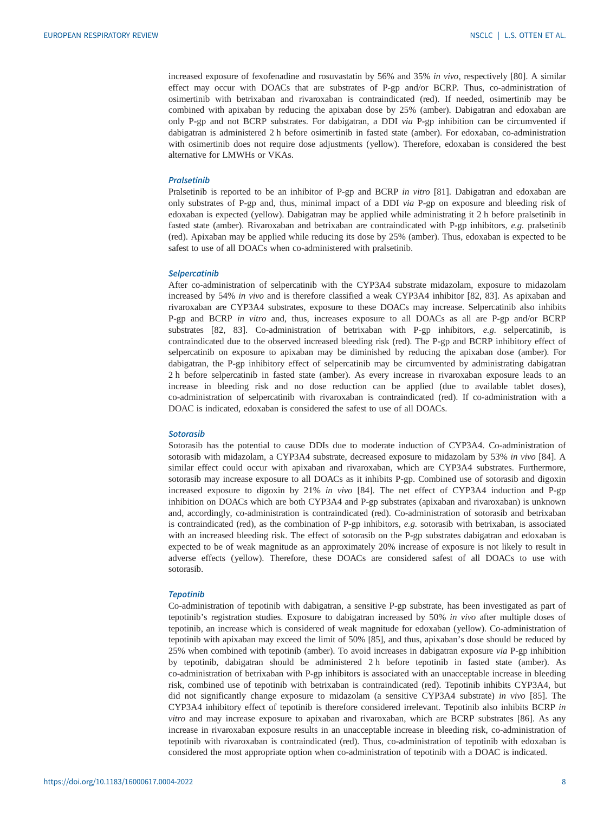increased exposure of fexofenadine and rosuvastatin by 56% and 35% in vivo, respectively [[80\]](#page-12-0). A similar effect may occur with DOACs that are substrates of P-gp and/or BCRP. Thus, co-administration of osimertinib with betrixaban and rivaroxaban is contraindicated (red). If needed, osimertinib may be combined with apixaban by reducing the apixaban dose by 25% (amber). Dabigatran and edoxaban are only P-gp and not BCRP substrates. For dabigatran, a DDI via P-gp inhibition can be circumvented if dabigatran is administered 2 h before osimertinib in fasted state (amber). For edoxaban, co-administration with osimertinib does not require dose adjustments (yellow). Therefore, edoxaban is considered the best alternative for LMWHs or VKAs.

#### **Pralsetinih**

Pralsetinib is reported to be an inhibitor of P-gp and BCRP in vitro [[81\]](#page-12-0). Dabigatran and edoxaban are only substrates of P-gp and, thus, minimal impact of a DDI via P-gp on exposure and bleeding risk of edoxaban is expected (yellow). Dabigatran may be applied while administrating it 2 h before pralsetinib in fasted state (amber). Rivaroxaban and betrixaban are contraindicated with P-gp inhibitors, e.g. pralsetinib (red). Apixaban may be applied while reducing its dose by 25% (amber). Thus, edoxaban is expected to be safest to use of all DOACs when co-administered with pralsetinib.

#### **Selpercatinib**

After co-administration of selpercatinib with the CYP3A4 substrate midazolam, exposure to midazolam increased by 54% in vivo and is therefore classified a weak CYP3A4 inhibitor [\[82](#page-12-0), [83\]](#page-12-0). As apixaban and rivaroxaban are CYP3A4 substrates, exposure to these DOACs may increase. Selpercatinib also inhibits P-gp and BCRP in vitro and, thus, increases exposure to all DOACs as all are P-gp and/or BCRP substrates [\[82](#page-12-0), [83\]](#page-12-0). Co-administration of betrixaban with P-gp inhibitors, e.g. selpercatinib, is contraindicated due to the observed increased bleeding risk (red). The P-gp and BCRP inhibitory effect of selpercatinib on exposure to apixaban may be diminished by reducing the apixaban dose (amber). For dabigatran, the P-gp inhibitory effect of selpercatinib may be circumvented by administrating dabigatran 2 h before selpercatinib in fasted state (amber). As every increase in rivaroxaban exposure leads to an increase in bleeding risk and no dose reduction can be applied (due to available tablet doses), co-administration of selpercatinib with rivaroxaban is contraindicated (red). If co-administration with a DOAC is indicated, edoxaban is considered the safest to use of all DOACs.

# Sotorasib

Sotorasib has the potential to cause DDIs due to moderate induction of CYP3A4. Co-administration of sotorasib with midazolam, a CYP3A4 substrate, decreased exposure to midazolam by 53% in vivo [\[84](#page-12-0)]. A similar effect could occur with apixaban and rivaroxaban, which are CYP3A4 substrates. Furthermore, sotorasib may increase exposure to all DOACs as it inhibits P-gp. Combined use of sotorasib and digoxin increased exposure to digoxin by 21% in vivo [[84\]](#page-12-0). The net effect of CYP3A4 induction and P-gp inhibition on DOACs which are both CYP3A4 and P-gp substrates (apixaban and rivaroxaban) is unknown and, accordingly, co-administration is contraindicated (red). Co-administration of sotorasib and betrixaban is contraindicated (red), as the combination of P-gp inhibitors,  $e.g.$  sotorasib with betrixaban, is associated with an increased bleeding risk. The effect of sotorasib on the P-gp substrates dabigatran and edoxaban is expected to be of weak magnitude as an approximately 20% increase of exposure is not likely to result in adverse effects (yellow). Therefore, these DOACs are considered safest of all DOACs to use with sotorasib.

#### Tepotinib

Co-administration of tepotinib with dabigatran, a sensitive P-gp substrate, has been investigated as part of tepotinib's registration studies. Exposure to dabigatran increased by 50% in vivo after multiple doses of tepotinib, an increase which is considered of weak magnitude for edoxaban (yellow). Co-administration of tepotinib with apixaban may exceed the limit of 50% [\[85](#page-12-0)], and thus, apixaban's dose should be reduced by 25% when combined with tepotinib (amber). To avoid increases in dabigatran exposure via P-gp inhibition by tepotinib, dabigatran should be administered 2 h before tepotinib in fasted state (amber). As co-administration of betrixaban with P-gp inhibitors is associated with an unacceptable increase in bleeding risk, combined use of tepotinib with betrixaban is contraindicated (red). Tepotinib inhibits CYP3A4, but did not significantly change exposure to midazolam (a sensitive CYP3A4 substrate) in vivo [\[85](#page-12-0)]. The CYP3A4 inhibitory effect of tepotinib is therefore considered irrelevant. Tepotinib also inhibits BCRP in vitro and may increase exposure to apixaban and rivaroxaban, which are BCRP substrates [\[86](#page-12-0)]. As any increase in rivaroxaban exposure results in an unacceptable increase in bleeding risk, co-administration of tepotinib with rivaroxaban is contraindicated (red). Thus, co-administration of tepotinib with edoxaban is considered the most appropriate option when co-administration of tepotinib with a DOAC is indicated.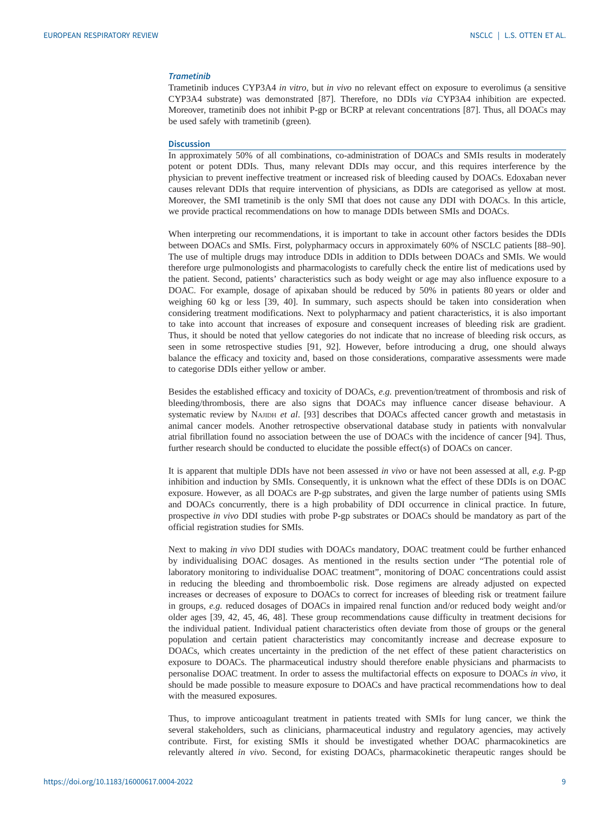# Trametinib

Trametinib induces CYP3A4 in vitro, but in vivo no relevant effect on exposure to everolimus (a sensitive CYP3A4 substrate) was demonstrated [[87\]](#page-12-0). Therefore, no DDIs via CYP3A4 inhibition are expected. Moreover, trametinib does not inhibit P-gp or BCRP at relevant concentrations [\[87](#page-12-0)]. Thus, all DOACs may be used safely with trametinib (green).

## **Discussion**

In approximately 50% of all combinations, co-administration of DOACs and SMIs results in moderately potent or potent DDIs. Thus, many relevant DDIs may occur, and this requires interference by the physician to prevent ineffective treatment or increased risk of bleeding caused by DOACs. Edoxaban never causes relevant DDIs that require intervention of physicians, as DDIs are categorised as yellow at most. Moreover, the SMI trametinib is the only SMI that does not cause any DDI with DOACs. In this article, we provide practical recommendations on how to manage DDIs between SMIs and DOACs.

When interpreting our recommendations, it is important to take in account other factors besides the DDIs between DOACs and SMIs. First, polypharmacy occurs in approximately 60% of NSCLC patients [\[88](#page-12-0)–[90\]](#page-12-0). The use of multiple drugs may introduce DDIs in addition to DDIs between DOACs and SMIs. We would therefore urge pulmonologists and pharmacologists to carefully check the entire list of medications used by the patient. Second, patients' characteristics such as body weight or age may also influence exposure to a DOAC. For example, dosage of apixaban should be reduced by 50% in patients 80 years or older and weighing 60 kg or less [\[39](#page-10-0), [40](#page-10-0)]. In summary, such aspects should be taken into consideration when considering treatment modifications. Next to polypharmacy and patient characteristics, it is also important to take into account that increases of exposure and consequent increases of bleeding risk are gradient. Thus, it should be noted that yellow categories do not indicate that no increase of bleeding risk occurs, as seen in some retrospective studies [[91, 92\]](#page-12-0). However, before introducing a drug, one should always balance the efficacy and toxicity and, based on those considerations, comparative assessments were made to categorise DDIs either yellow or amber.

Besides the established efficacy and toxicity of DOACs, e.g. prevention/treatment of thrombosis and risk of bleeding/thrombosis, there are also signs that DOACs may influence cancer disease behaviour. A systematic review by NAJIDH et al. [[93\]](#page-12-0) describes that DOACs affected cancer growth and metastasis in animal cancer models. Another retrospective observational database study in patients with nonvalvular atrial fibrillation found no association between the use of DOACs with the incidence of cancer [[94\]](#page-12-0). Thus, further research should be conducted to elucidate the possible effect(s) of DOACs on cancer.

It is apparent that multiple DDIs have not been assessed in vivo or have not been assessed at all, e.g. P-gp inhibition and induction by SMIs. Consequently, it is unknown what the effect of these DDIs is on DOAC exposure. However, as all DOACs are P-gp substrates, and given the large number of patients using SMIs and DOACs concurrently, there is a high probability of DDI occurrence in clinical practice. In future, prospective in vivo DDI studies with probe P-gp substrates or DOACs should be mandatory as part of the official registration studies for SMIs.

Next to making in vivo DDI studies with DOACs mandatory, DOAC treatment could be further enhanced by individualising DOAC dosages. As mentioned in the results section under "The potential role of laboratory monitoring to individualise DOAC treatment", monitoring of DOAC concentrations could assist in reducing the bleeding and thromboembolic risk. Dose regimens are already adjusted on expected increases or decreases of exposure to DOACs to correct for increases of bleeding risk or treatment failure in groups, e.g. reduced dosages of DOACs in impaired renal function and/or reduced body weight and/or older ages [\[39](#page-10-0), [42,](#page-10-0) [45](#page-11-0), [46](#page-11-0), [48\]](#page-11-0). These group recommendations cause difficulty in treatment decisions for the individual patient. Individual patient characteristics often deviate from those of groups or the general population and certain patient characteristics may concomitantly increase and decrease exposure to DOACs, which creates uncertainty in the prediction of the net effect of these patient characteristics on exposure to DOACs. The pharmaceutical industry should therefore enable physicians and pharmacists to personalise DOAC treatment. In order to assess the multifactorial effects on exposure to DOACs in vivo, it should be made possible to measure exposure to DOACs and have practical recommendations how to deal with the measured exposures.

Thus, to improve anticoagulant treatment in patients treated with SMIs for lung cancer, we think the several stakeholders, such as clinicians, pharmaceutical industry and regulatory agencies, may actively contribute. First, for existing SMIs it should be investigated whether DOAC pharmacokinetics are relevantly altered in vivo. Second, for existing DOACs, pharmacokinetic therapeutic ranges should be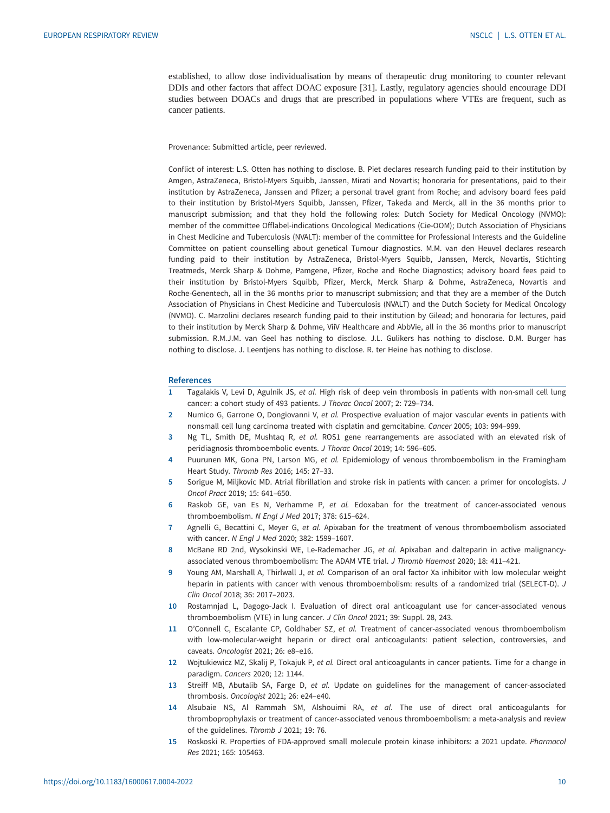<span id="page-9-0"></span>established, to allow dose individualisation by means of therapeutic drug monitoring to counter relevant DDIs and other factors that affect DOAC exposure [\[31](#page-10-0)]. Lastly, regulatory agencies should encourage DDI studies between DOACs and drugs that are prescribed in populations where VTEs are frequent, such as cancer patients.

Provenance: Submitted article, peer reviewed.

Conflict of interest: L.S. Otten has nothing to disclose. B. Piet declares research funding paid to their institution by Amgen, AstraZeneca, Bristol-Myers Squibb, Janssen, Mirati and Novartis; honoraria for presentations, paid to their institution by AstraZeneca, Janssen and Pfizer; a personal travel grant from Roche; and advisory board fees paid to their institution by Bristol-Myers Squibb, Janssen, Pfizer, Takeda and Merck, all in the 36 months prior to manuscript submission; and that they hold the following roles: Dutch Society for Medical Oncology (NVMO): member of the committee Offlabel-indications Oncological Medications (Cie-OOM); Dutch Association of Physicians in Chest Medicine and Tuberculosis (NVALT): member of the committee for Professional Interests and the Guideline Committee on patient counselling about genetical Tumour diagnostics. M.M. van den Heuvel declares research funding paid to their institution by AstraZeneca, Bristol-Myers Squibb, Janssen, Merck, Novartis, Stichting Treatmeds, Merck Sharp & Dohme, Pamgene, Pfizer, Roche and Roche Diagnostics; advisory board fees paid to their institution by Bristol-Myers Squibb, Pfizer, Merck, Merck Sharp & Dohme, AstraZeneca, Novartis and Roche-Genentech, all in the 36 months prior to manuscript submission; and that they are a member of the Dutch Association of Physicians in Chest Medicine and Tuberculosis (NVALT) and the Dutch Society for Medical Oncology (NVMO). C. Marzolini declares research funding paid to their institution by Gilead; and honoraria for lectures, paid to their institution by Merck Sharp & Dohme, ViiV Healthcare and AbbVie, all in the 36 months prior to manuscript submission. R.M.J.M. van Geel has nothing to disclose. J.L. Gulikers has nothing to disclose. D.M. Burger has nothing to disclose. J. Leentjens has nothing to disclose. R. ter Heine has nothing to disclose.

#### References

- 1 Tagalakis V, Levi D, Agulnik JS, et al. High risk of deep vein thrombosis in patients with non-small cell lung cancer: a cohort study of 493 patients. J Thorac Oncol 2007; 2: 729–734.
- 2 Numico G, Garrone O, Dongiovanni V, et al. Prospective evaluation of major vascular events in patients with nonsmall cell lung carcinoma treated with cisplatin and gemcitabine. Cancer 2005; 103: 994–999.
- 3 Ng TL, Smith DE, Mushtaq R, et al. ROS1 gene rearrangements are associated with an elevated risk of peridiagnosis thromboembolic events. J Thorac Oncol 2019; 14: 596–605.
- 4 Puurunen MK, Gona PN, Larson MG, et al. Epidemiology of venous thromboembolism in the Framingham Heart Study. Thromb Res 2016; 145: 27–33.
- 5 Sorigue M, Miljkovic MD. Atrial fibrillation and stroke risk in patients with cancer: a primer for oncologists. J Oncol Pract 2019; 15: 641–650.
- 6 Raskob GE, van Es N, Verhamme P, et al. Edoxaban for the treatment of cancer-associated venous thromboembolism. N Engl J Med 2017; 378: 615–624.
- 7 Agnelli G, Becattini C, Meyer G, et al. Apixaban for the treatment of venous thromboembolism associated with cancer. N Engl J Med 2020; 382: 1599–1607.
- 8 McBane RD 2nd, Wysokinski WE, Le-Rademacher JG, et al. Apixaban and dalteparin in active malignancyassociated venous thromboembolism: The ADAM VTE trial. J Thromb Haemost 2020; 18: 411–421.
- 9 Young AM, Marshall A, Thirlwall J, et al. Comparison of an oral factor Xa inhibitor with low molecular weight heparin in patients with cancer with venous thromboembolism: results of a randomized trial (SELECT-D). J Clin Oncol 2018; 36: 2017–2023.
- 10 Rostamnjad L, Dagogo-Jack I. Evaluation of direct oral anticoagulant use for cancer-associated venous thromboembolism (VTE) in lung cancer. J Clin Oncol 2021; 39: Suppl. 28, 243.
- 11 O'Connell C, Escalante CP, Goldhaber SZ, et al. Treatment of cancer-associated venous thromboembolism with low-molecular-weight heparin or direct oral anticoagulants: patient selection, controversies, and caveats. Oncologist 2021; 26: e8–e16.
- 12 Wojtukiewicz MZ, Skalij P, Tokajuk P, et al. Direct oral anticoagulants in cancer patients. Time for a change in paradigm. Cancers 2020; 12: 1144.
- 13 Streiff MB, Abutalib SA, Farge D, et al. Update on guidelines for the management of cancer-associated thrombosis. Oncologist 2021; 26: e24–e40.
- 14 Alsubaie NS, Al Rammah SM, Alshouimi RA, et al. The use of direct oral anticoagulants for thromboprophylaxis or treatment of cancer-associated venous thromboembolism: a meta-analysis and review of the guidelines. Thromb J 2021; 19: 76.
- 15 Roskoski R. Properties of FDA-approved small molecule protein kinase inhibitors: a 2021 update. Pharmacol Res 2021; 165: 105463.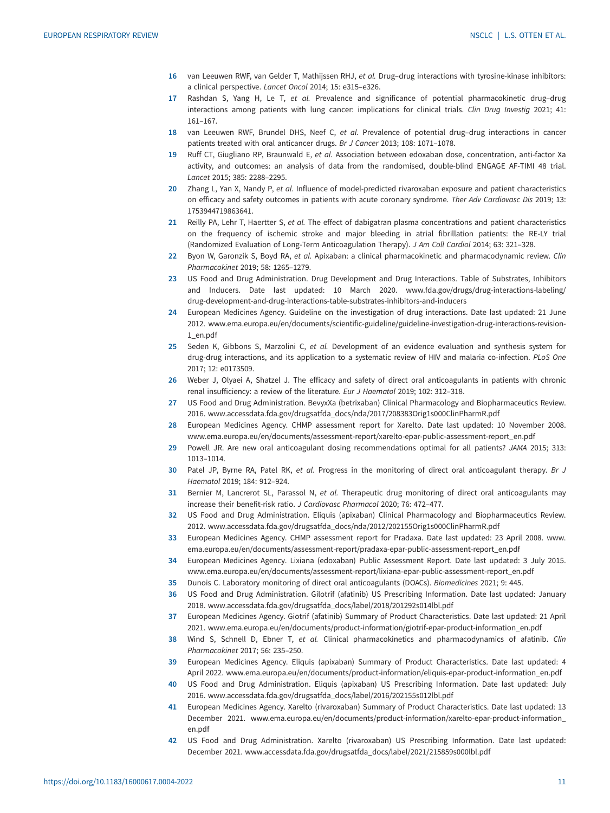- <span id="page-10-0"></span>16 van Leeuwen RWF, van Gelder T, Mathijssen RHJ, et al. Drug-drug interactions with tyrosine-kinase inhibitors: a clinical perspective. Lancet Oncol 2014; 15: e315–e326.
- 17 Rashdan S, Yang H, Le T, et al. Prevalence and significance of potential pharmacokinetic drug-drug interactions among patients with lung cancer: implications for clinical trials. Clin Drug Investig 2021; 41: 161–167.
- 18 van Leeuwen RWF, Brundel DHS, Neef C, et al. Prevalence of potential drug-drug interactions in cancer patients treated with oral anticancer drugs. Br J Cancer 2013; 108: 1071–1078.
- 19 Ruff CT, Giugliano RP, Braunwald E, et al. Association between edoxaban dose, concentration, anti-factor Xa activity, and outcomes: an analysis of data from the randomised, double-blind ENGAGE AF-TIMI 48 trial. Lancet 2015; 385: 2288–2295.
- 20 Zhang L, Yan X, Nandy P, et al. Influence of model-predicted rivaroxaban exposure and patient characteristics on efficacy and safety outcomes in patients with acute coronary syndrome. Ther Adv Cardiovasc Dis 2019; 13: 1753944719863641.
- 21 Reilly PA, Lehr T, Haertter S, et al. The effect of dabigatran plasma concentrations and patient characteristics on the frequency of ischemic stroke and major bleeding in atrial fibrillation patients: the RE-LY trial (Randomized Evaluation of Long-Term Anticoagulation Therapy). J Am Coll Cardiol 2014; 63: 321–328.
- 22 Byon W, Garonzik S, Boyd RA, et al. Apixaban: a clinical pharmacokinetic and pharmacodynamic review. Clin Pharmacokinet 2019; 58: 1265–1279.
- 23 US Food and Drug Administration. Drug Development and Drug Interactions. Table of Substrates, Inhibitors and Inducers. Date last updated: 10 March 2020. [www.fda.gov/drugs/drug-interactions-labeling/](http://www.fda.gov/drugs/drug-interactions-labeling/drug-development-and-drug-interactions-table-substrates-inhibitors-and-inducers) [drug-development-and-drug-interactions-table-substrates-inhibitors-and-inducers](http://www.fda.gov/drugs/drug-interactions-labeling/drug-development-and-drug-interactions-table-substrates-inhibitors-and-inducers)
- 24 European Medicines Agency. Guideline on the investigation of drug interactions. Date last updated: 21 June 2012. [www.ema.europa.eu/en/documents/scientific-guideline/guideline-investigation-drug-interactions-revision-](http://www.ema.europa.eu/en/documents/scientific-guideline/guideline-investigation-drug-interactions-revision-1_en.pdf)[1\\_en.pdf](http://www.ema.europa.eu/en/documents/scientific-guideline/guideline-investigation-drug-interactions-revision-1_en.pdf)
- 25 Seden K, Gibbons S, Marzolini C, et al. Development of an evidence evaluation and synthesis system for drug-drug interactions, and its application to a systematic review of HIV and malaria co-infection. PLoS One 2017; 12: e0173509.
- 26 Weber J, Olyaei A, Shatzel J. The efficacy and safety of direct oral anticoagulants in patients with chronic renal insufficiency: a review of the literature. Eur J Haematol 2019; 102: 312–318.
- 27 US Food and Drug Administration. BevyxXa (betrixaban) Clinical Pharmacology and Biopharmaceutics Review. 2016. [www.accessdata.fda.gov/drugsatfda\\_docs/nda/2017/208383Orig1s000ClinPharmR.pdf](http://www.accessdata.fda.gov/drugsatfda_docs/nda/2017/208383Orig1s000ClinPharmR.pdf)
- 28 European Medicines Agency. CHMP assessment report for Xarelto. Date last updated: 10 November 2008. [www.ema.europa.eu/en/documents/assessment-report/xarelto-epar-public-assessment-report\\_en.pdf](http://www.ema.europa.eu/en/documents/assessment-report/xarelto-epar-public-assessment-report_en.pdf)
- 29 Powell JR. Are new oral anticoagulant dosing recommendations optimal for all patients? JAMA 2015; 313: 1013–1014.
- 30 Patel JP, Byrne RA, Patel RK, et al. Progress in the monitoring of direct oral anticoagulant therapy. Br J Haematol 2019; 184: 912–924.
- 31 Bernier M, Lancrerot SL, Parassol N, et al. Therapeutic drug monitoring of direct oral anticoagulants may increase their benefit-risk ratio. J Cardiovasc Pharmacol 2020; 76: 472–477.
- 32 US Food and Drug Administration. Eliquis (apixaban) Clinical Pharmacology and Biopharmaceutics Review. 2012. [www.accessdata.fda.gov/drugsatfda\\_docs/nda/2012/202155Orig1s000ClinPharmR.pdf](http://www.accessdata.fda.gov/drugsatfda_docs/nda/2012/202155Orig1s000ClinPharmR.pdf)
- 33 European Medicines Agency. CHMP assessment report for Pradaxa. Date last updated: 23 April 2008. [www.](http://www.ema.europa.eu/en/documents/assessment-report/pradaxa-epar-public-assessment-report_en.pdf) [ema.europa.eu/en/documents/assessment-report/pradaxa-epar-public-assessment-report\\_en.pdf](http://www.ema.europa.eu/en/documents/assessment-report/pradaxa-epar-public-assessment-report_en.pdf)
- 34 European Medicines Agency. Lixiana (edoxaban) Public Assessment Report. Date last updated: 3 July 2015. www.ema.europa.eu/en/documents/assessment-report/lixiana-epar-public-assessment-report\_en.pdf
- 35 Dunois C. Laboratory monitoring of direct oral anticoagulants (DOACs). Biomedicines 2021; 9: 445.
- 36 US Food and Drug Administration. Gilotrif (afatinib) US Prescribing Information. Date last updated: January 2018. www.accessdata.fda.gov/drugsatfda\_docs/label/2018/201292s014lbl.pdf
- 37 European Medicines Agency. Giotrif (afatinib) Summary of Product Characteristics. Date last updated: 21 April 2021. [www.ema.europa.eu/en/documents/product-information/giotrif-epar-product-information\\_en.pdf](http://www.ema.europa.eu/en/documents/product-information/giotrif-epar-product-information_en.pdf)
- 38 Wind S, Schnell D, Ebner T, et al. Clinical pharmacokinetics and pharmacodynamics of afatinib. Clin Pharmacokinet 2017; 56: 235–250.
- 39 European Medicines Agency. Eliquis (apixaban) Summary of Product Characteristics. Date last updated: 4 April 2022. [www.ema.europa.eu/en/documents/product-information/eliquis-epar-product-information\\_en.pdf](http://www.ema.europa.eu/en/documents/product-information/eliquis-epar-product-information_en.pdf)
- 40 US Food and Drug Administration. Eliquis (apixaban) US Prescribing Information. Date last updated: July 2016. www.accessdata.fda.gov/drugsatfda\_docs/label/2016/202155s012lbl.pdf
- 41 European Medicines Agency. Xarelto (rivaroxaban) Summary of Product Characteristics. Date last updated: 13 December 2021. [www.ema.europa.eu/en/documents/product-information/xarelto-epar-product-information\\_](http://www.ema.europa.eu/en/documents/product-information/xarelto-epar-product-information_en.pdf) [en.pdf](http://www.ema.europa.eu/en/documents/product-information/xarelto-epar-product-information_en.pdf)
- 42 US Food and Drug Administration. Xarelto (rivaroxaban) US Prescribing Information. Date last updated: December 2021. www.accessdata.fda.gov/drugsatfda\_docs/label/2021/215859s000lbl.pdf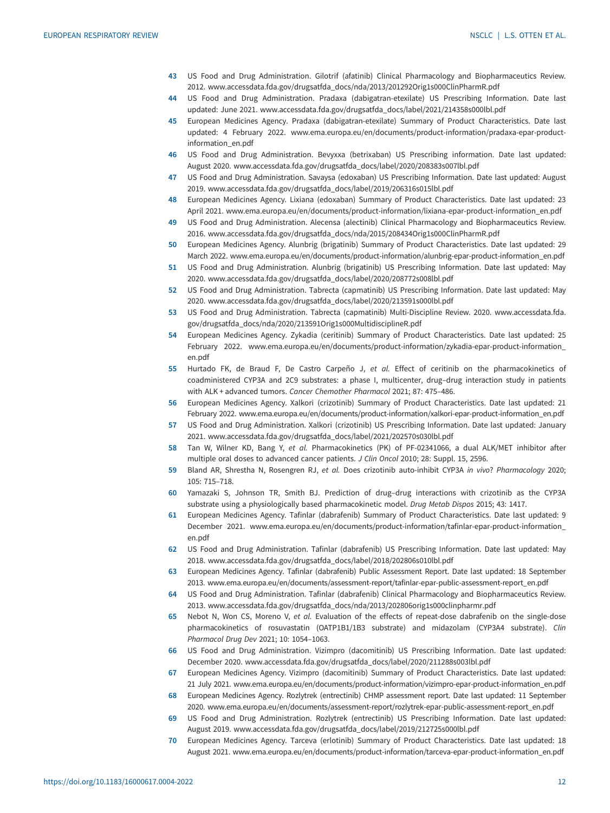- <span id="page-11-0"></span>43 US Food and Drug Administration. Gilotrif (afatinib) Clinical Pharmacology and Biopharmaceutics Review. 2012. [www.accessdata.fda.gov/drugsatfda\\_docs/nda/2013/201292Orig1s000ClinPharmR.pdf](http://www.accessdata.fda.gov/drugsatfda_docs/nda/2013/201292Orig1s000ClinPharmR.pdf)
- 44 US Food and Drug Administration. Pradaxa (dabigatran-etexilate) US Prescribing Information. Date last updated: June 2021. www.accessdata.fda.gov/drugsatfda\_docs/label/2021/214358s000lbl.pdf
- 45 European Medicines Agency. Pradaxa (dabigatran-etexilate) Summary of Product Characteristics. Date last updated: 4 February 2022. [www.ema.europa.eu/en/documents/product-information/pradaxa-epar-product](http://www.ema.europa.eu/en/documents/product-information/pradaxa-epar-product-information_en.pdf)[information\\_en.pdf](http://www.ema.europa.eu/en/documents/product-information/pradaxa-epar-product-information_en.pdf)
- 46 US Food and Drug Administration. Bevyxxa (betrixaban) US Prescribing information. Date last updated: August 2020. www.accessdata.fda.gov/drugsatfda\_docs/label/2020/208383s007lbl.pdf
- 47 US Food and Drug Administration. Savaysa (edoxaban) US Prescribing Information. Date last updated: August 2019. www.accessdata.fda.gov/drugsatfda\_docs/label/2019/206316s015lbl.pdf
- 48 European Medicines Agency. Lixiana (edoxaban) Summary of Product Characteristics. Date last updated: 23 April 2021. [www.ema.europa.eu/en/documents/product-information/lixiana-epar-product-information\\_en.pdf](http://www.ema.europa.eu/en/documents/product-information/lixiana-epar-product-information_en.pdf)
- 49 US Food and Drug Administration. Alecensa (alectinib) Clinical Pharmacology and Biopharmaceutics Review. 2016. [www.accessdata.fda.gov/drugsatfda\\_docs/nda/2015/208434Orig1s000ClinPharmR.pdf](http://www.accessdata.fda.gov/drugsatfda_docs/nda/2015/208434Orig1s000ClinPharmR.pdf)
- 50 European Medicines Agency. Alunbrig (brigatinib) Summary of Product Characteristics. Date last updated: 29 March 2022. [www.ema.europa.eu/en/documents/product-information/alunbrig-epar-product-information\\_en.pdf](http://www.ema.europa.eu/en/documents/product-information/alunbrig-epar-product-information_en.pdf)
- 51 US Food and Drug Administration. Alunbrig (brigatinib) US Prescribing Information. Date last updated: May 2020. www.accessdata.fda.gov/drugsatfda\_docs/label/2020/208772s008lbl.pdf
- 52 US Food and Drug Administration. Tabrecta (capmatinib) US Prescribing Information. Date last updated: May 2020. www.accessdata.fda.gov/drugsatfda\_docs/label/2020/213591s000lbl.pdf
- 53 US Food and Drug Administration. Tabrecta (capmatinib) Multi-Discipline Review. 2020. [www.accessdata.fda.](http://www.accessdata.fda.gov/drugsatfda_docs/nda/2020/213591Orig1s000MultidisciplineR.pdf) [gov/drugsatfda\\_docs/nda/2020/213591Orig1s000MultidisciplineR.pdf](http://www.accessdata.fda.gov/drugsatfda_docs/nda/2020/213591Orig1s000MultidisciplineR.pdf)
- 54 European Medicines Agency. Zykadia (ceritinib) Summary of Product Characteristics. Date last updated: 25 February 2022. [www.ema.europa.eu/en/documents/product-information/zykadia-epar-product-information\\_](http://www.ema.europa.eu/en/documents/product-information/zykadia-epar-product-information_en.pdf) [en.pdf](http://www.ema.europa.eu/en/documents/product-information/zykadia-epar-product-information_en.pdf)
- 55 Hurtado FK, de Braud F, De Castro Carpeño J, et al. Effect of ceritinib on the pharmacokinetics of coadministered CYP3A and 2C9 substrates: a phase I, multicenter, drug–drug interaction study in patients with ALK + advanced tumors. Cancer Chemother Pharmacol 2021; 87: 475–486.
- 56 European Medicines Agency. Xalkori (crizotinib) Summary of Product Characteristics. Date last updated: 21 February 2022. [www.ema.europa.eu/en/documents/product-information/xalkori-epar-product-information\\_en.pdf](http://www.ema.europa.eu/en/documents/product-information/xalkori-epar-product-information_en.pdf)
- 57 US Food and Drug Administration. Xalkori (crizotinib) US Prescribing Information. Date last updated: January 2021. www.accessdata.fda.gov/drugsatfda\_docs/label/2021/202570s030lbl.pdf
- 58 Tan W, Wilner KD, Bang Y, et al. Pharmacokinetics (PK) of PF-02341066, a dual ALK/MET inhibitor after multiple oral doses to advanced cancer patients. J Clin Oncol 2010; 28: Suppl. 15, 2596.
- 59 Bland AR, Shrestha N, Rosengren RJ, et al. Does crizotinib auto-inhibit CYP3A in vivo? Pharmacology 2020; 105: 715–718.
- 60 Yamazaki S, Johnson TR, Smith BJ. Prediction of drug–drug interactions with crizotinib as the CYP3A substrate using a physiologically based pharmacokinetic model. Drug Metab Dispos 2015; 43: 1417.
- 61 European Medicines Agency. Tafinlar (dabrafenib) Summary of Product Characteristics. Date last updated: 9 December 2021. [www.ema.europa.eu/en/documents/product-information/tafinlar-epar-product-information\\_](http://www.ema.europa.eu/en/documents/product-information/tafinlar-epar-product-information_en.pdf) [en.pdf](http://www.ema.europa.eu/en/documents/product-information/tafinlar-epar-product-information_en.pdf)
- 62 US Food and Drug Administration. Tafinlar (dabrafenib) US Prescribing Information. Date last updated: May 2018. www.accessdata.fda.gov/drugsatfda\_docs/label/2018/202806s010lbl.pdf
- 63 European Medicines Agency. Tafinlar (dabrafenib) Public Assessment Report. Date last updated: 18 September 2013. [www.ema.europa.eu/en/documents/assessment-report/tafinlar-epar-public-assessment-report\\_en.pdf](http://www.ema.europa.eu/en/documents/assessment-report/tafinlar-epar-public-assessment-report_en.pdf)
- 64 US Food and Drug Administration. Tafinlar (dabrafenib) Clinical Pharmacology and Biopharmaceutics Review. 2013. [www.accessdata.fda.gov/drugsatfda\\_docs/nda/2013/202806orig1s000clinpharmr.pdf](http://www.accessdata.fda.gov/drugsatfda_docs/nda/2013/202806orig1s000clinpharmr.pdf)
- 65 Nebot N, Won CS, Moreno V, et al. Evaluation of the effects of repeat-dose dabrafenib on the single-dose pharmacokinetics of rosuvastatin (OATP1B1/1B3 substrate) and midazolam (CYP3A4 substrate). Clin Pharmacol Drug Dev 2021; 10: 1054–1063.
- 66 US Food and Drug Administration. Vizimpro (dacomitinib) US Prescribing Information. Date last updated: December 2020. www.accessdata.fda.gov/drugsatfda\_docs/label/2020/211288s003lbl.pdf
- 67 European Medicines Agency. Vizimpro (dacomitinib) Summary of Product Characteristics. Date last updated: 21 July 2021. [www.ema.europa.eu/en/documents/product-information/vizimpro-epar-product-information\\_en.pdf](http://www.ema.europa.eu/en/documents/product-information/vizimpro-epar-product-information_en.pdf)
- 68 European Medicines Agency. Rozlytrek (entrectinib) CHMP assessment report. Date last updated: 11 September 2020. [www.ema.europa.eu/en/documents/assessment-report/rozlytrek-epar-public-assessment-report\\_en.pdf](http://www.ema.europa.eu/en/documents/assessment-report/rozlytrek-epar-public-assessment-report_en.pdf)
- 69 US Food and Drug Administration. Rozlytrek (entrectinib) US Prescribing Information. Date last updated: August 2019. www.accessdata.fda.gov/drugsatfda\_docs/label/2019/212725s000lbl.pdf
- 70 European Medicines Agency. Tarceva (erlotinib) Summary of Product Characteristics. Date last updated: 18 August 2021. [www.ema.europa.eu/en/documents/product-information/tarceva-epar-product-information\\_en.pdf](http://www.ema.europa.eu/en/documents/product-information/tarceva-epar-product-information_en.pdf)